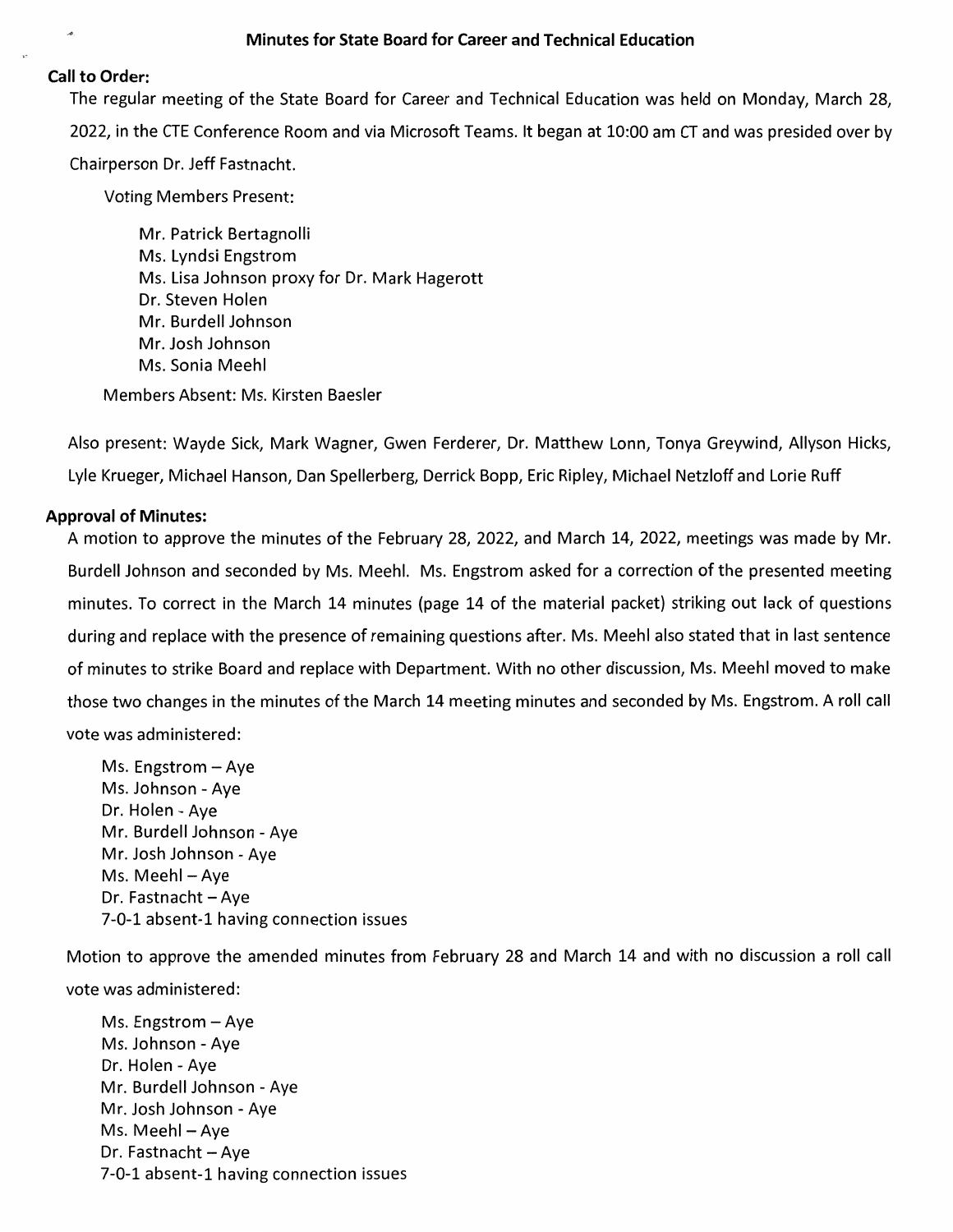### **Call to Order:**

The regular meeting of the State Board for Career and Technical Education was held on Monday, March 28, 2022, in the CTE Conference Room and via Microsoft Teams. It began at 10:00 am CT and was presided over by Chairperson Dr. Jeff Fastnacht.

**Voting Members Present:** 

Mr. Patrick Bertagnolli Ms. Lyndsi Engstrom Ms. Lisa Johnson proxy for Dr. Mark Hagerott Dr. Steven Holen Mr. Burdell Johnson Mr. Josh Johnson Ms. Sonia Meehl

Members Absent: Ms. Kirsten Baesler

Also present: Wayde Sick, Mark Wagner, Gwen Ferderer, Dr. Matthew Lonn, Tonya Greywind, Allyson Hicks, Lyle Krueger, Michael Hanson, Dan Spellerberg, Derrick Bopp, Eric Ripley, Michael Netzloff and Lorie Ruff

# **Approval of Minutes:**

A motion to approve the minutes of the February 28, 2022, and March 14, 2022, meetings was made by Mr. Burdell Johnson and seconded by Ms. Meehl. Ms. Engstrom asked for a correction of the presented meeting minutes. To correct in the March 14 minutes (page 14 of the material packet) striking out lack of questions during and replace with the presence of remaining questions after. Ms. Meehl also stated that in last sentence of minutes to strike Board and replace with Department. With no other discussion, Ms. Meehl moved to make those two changes in the minutes of the March 14 meeting minutes and seconded by Ms. Engstrom. A roll call vote was administered:

Ms. Engstrom  $-$  Aye Ms. Johnson - Aye Dr. Holen - Aye Mr. Burdell Johnson - Aye Mr. Josh Johnson - Aye Ms. Meehl - Aye Dr. Fastnacht - Aye 7-0-1 absent-1 having connection issues

Motion to approve the amended minutes from February 28 and March 14 and with no discussion a roll call vote was administered:

Ms. Engstrom  $-$  Aye Ms. Johnson - Aye Dr. Holen - Aye Mr. Burdell Johnson - Aye Mr. Josh Johnson - Aye Ms. Meehl - Aye Dr. Fastnacht - Aye 7-0-1 absent-1 having connection issues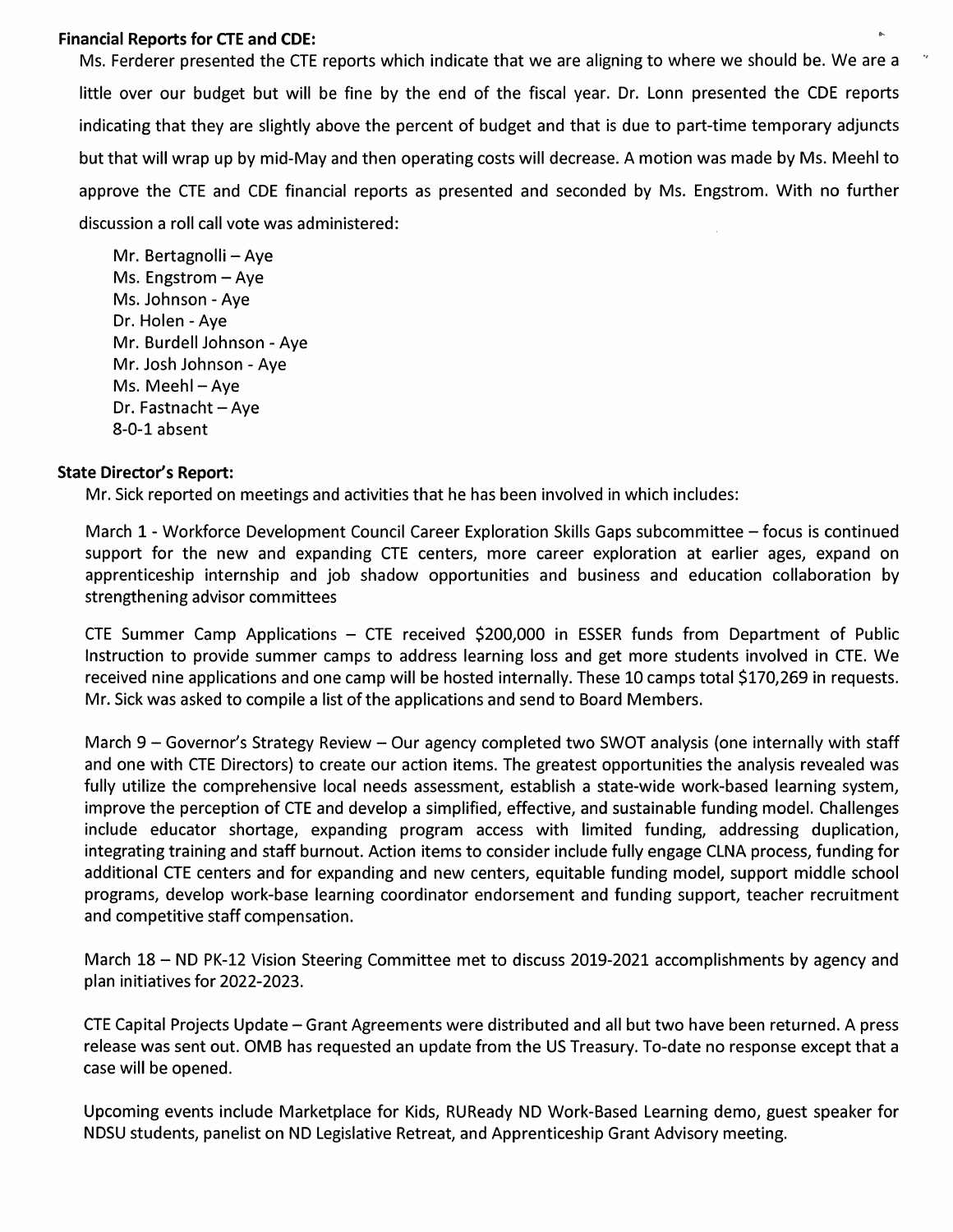# **Financial Reports for CTE and CDE:**

Ms. Ferderer presented the CTE reports which indicate that we are aligning to where we should be. We are a little over our budget but will be fine by the end of the fiscal year. Dr. Lonn presented the CDE reports indicating that they are slightly above the percent of budget and that is due to part-time temporary adjuncts but that will wrap up by mid-May and then operating costs will decrease. A motion was made by Ms. Meehl to approve the CTE and CDE financial reports as presented and seconded by Ms. Engstrom. With no further discussion a roll call vote was administered:

Mr. Bertagnolli - Ave Ms. Engstrom  $-$  Aye Ms. Johnson - Aye Dr. Holen - Aye Mr. Burdell Johnson - Aye Mr. Josh Johnson - Ave Ms. Meehl - Aye Dr. Fastnacht - Aye 8-0-1 absent

### **State Director's Report:**

Mr. Sick reported on meetings and activities that he has been involved in which includes:

March 1 - Workforce Development Council Career Exploration Skills Gaps subcommittee - focus is continued support for the new and expanding CTE centers, more career exploration at earlier ages, expand on apprenticeship internship and job shadow opportunities and business and education collaboration by strengthening advisor committees

CTE Summer Camp Applications - CTE received \$200,000 in ESSER funds from Department of Public Instruction to provide summer camps to address learning loss and get more students involved in CTE. We received nine applications and one camp will be hosted internally. These 10 camps total \$170,269 in requests. Mr. Sick was asked to compile a list of the applications and send to Board Members.

March 9 – Governor's Strategy Review – Our agency completed two SWOT analysis (one internally with staff and one with CTE Directors) to create our action items. The greatest opportunities the analysis revealed was fully utilize the comprehensive local needs assessment, establish a state-wide work-based learning system, improve the perception of CTE and develop a simplified, effective, and sustainable funding model. Challenges include educator shortage, expanding program access with limited funding, addressing duplication, integrating training and staff burnout. Action items to consider include fully engage CLNA process, funding for additional CTE centers and for expanding and new centers, equitable funding model, support middle school programs, develop work-base learning coordinator endorsement and funding support, teacher recruitment and competitive staff compensation.

March 18 – ND PK-12 Vision Steering Committee met to discuss 2019-2021 accomplishments by agency and plan initiatives for 2022-2023.

CTE Capital Projects Update – Grant Agreements were distributed and all but two have been returned. A press release was sent out. OMB has requested an update from the US Treasury. To-date no response except that a case will be opened.

Upcoming events include Marketplace for Kids, RUReady ND Work-Based Learning demo, guest speaker for NDSU students, panelist on ND Legislative Retreat, and Apprenticeship Grant Advisory meeting.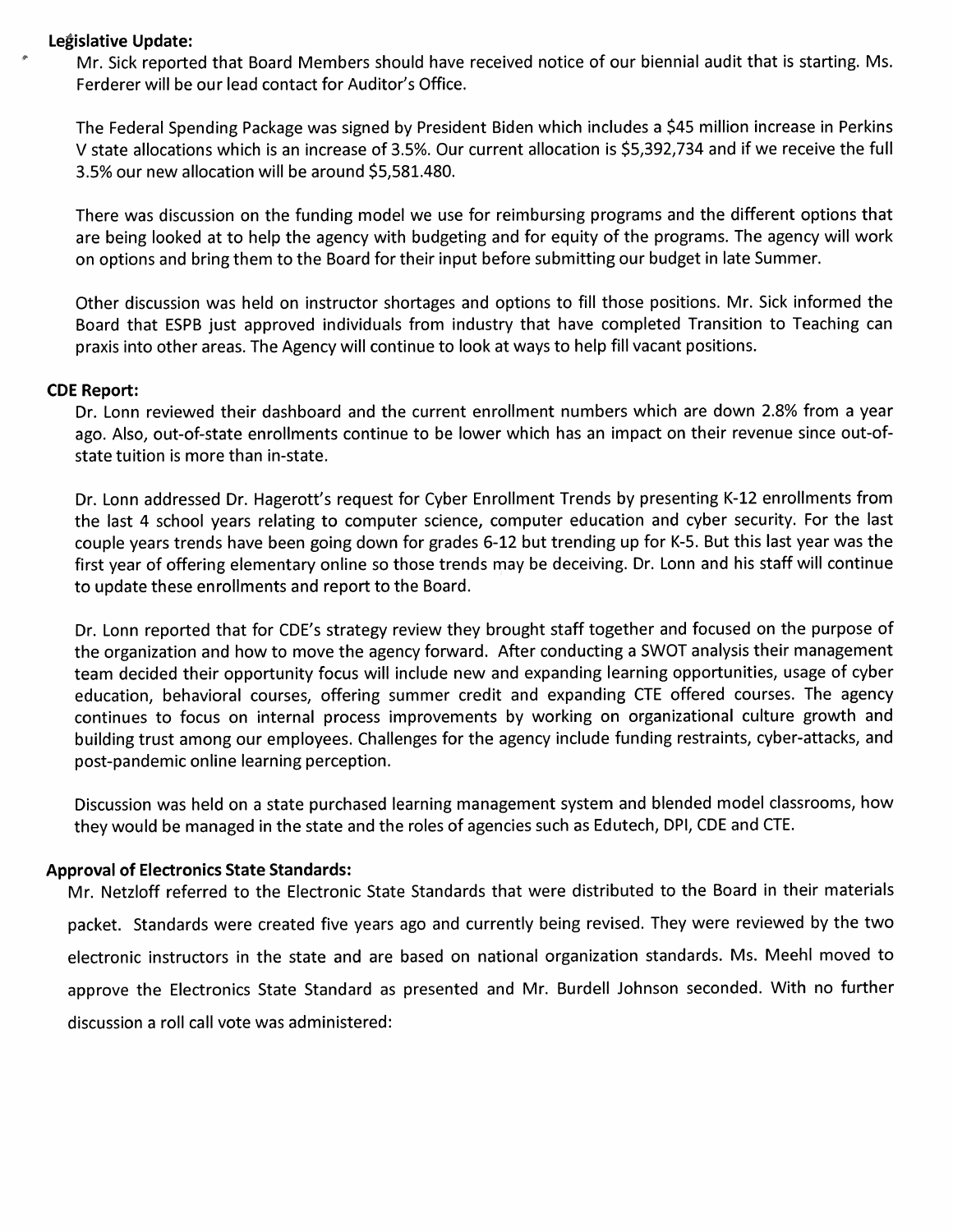### Legislative Update:

Mr. Sick reported that Board Members should have received notice of our biennial audit that is starting. Ms. Ferderer will be our lead contact for Auditor's Office.

The Federal Spending Package was signed by President Biden which includes a \$45 million increase in Perkins V state allocations which is an increase of 3.5%. Our current allocation is \$5,392,734 and if we receive the full 3.5% our new allocation will be around \$5,581.480.

There was discussion on the funding model we use for reimbursing programs and the different options that are being looked at to help the agency with budgeting and for equity of the programs. The agency will work on options and bring them to the Board for their input before submitting our budget in late Summer.

Other discussion was held on instructor shortages and options to fill those positions. Mr. Sick informed the Board that ESPB just approved individuals from industry that have completed Transition to Teaching can praxis into other areas. The Agency will continue to look at ways to help fill vacant positions.

### **CDE Report:**

Dr. Lonn reviewed their dashboard and the current enrollment numbers which are down 2.8% from a year ago. Also, out-of-state enrollments continue to be lower which has an impact on their revenue since out-ofstate tuition is more than in-state.

Dr. Lonn addressed Dr. Hagerott's request for Cyber Enrollment Trends by presenting K-12 enrollments from the last 4 school years relating to computer science, computer education and cyber security. For the last couple years trends have been going down for grades 6-12 but trending up for K-5. But this last year was the first year of offering elementary online so those trends may be deceiving. Dr. Lonn and his staff will continue to update these enrollments and report to the Board.

Dr. Lonn reported that for CDE's strategy review they brought staff together and focused on the purpose of the organization and how to move the agency forward. After conducting a SWOT analysis their management team decided their opportunity focus will include new and expanding learning opportunities, usage of cyber education, behavioral courses, offering summer credit and expanding CTE offered courses. The agency continues to focus on internal process improvements by working on organizational culture growth and building trust among our employees. Challenges for the agency include funding restraints, cyber-attacks, and post-pandemic online learning perception.

Discussion was held on a state purchased learning management system and blended model classrooms, how they would be managed in the state and the roles of agencies such as Edutech, DPI, CDE and CTE.

# **Approval of Electronics State Standards:**

Mr. Netzloff referred to the Electronic State Standards that were distributed to the Board in their materials packet. Standards were created five years ago and currently being revised. They were reviewed by the two electronic instructors in the state and are based on national organization standards. Ms. Meehl moved to approve the Electronics State Standard as presented and Mr. Burdell Johnson seconded. With no further discussion a roll call vote was administered: